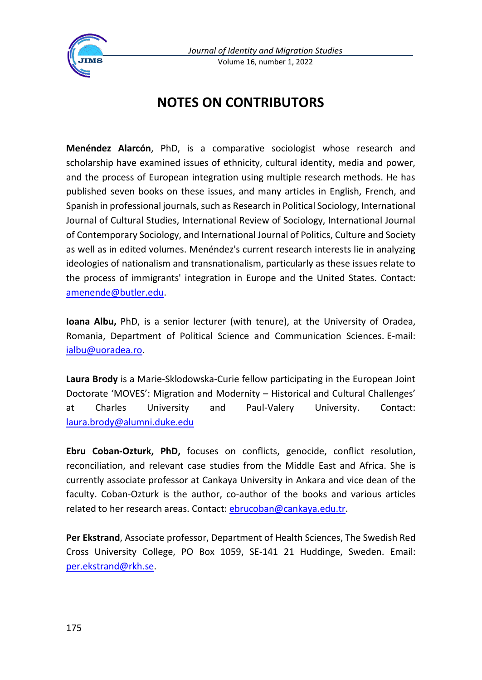

*Journal of Identity and Migration Studies* Volume 16, number 1, 2022

## **NOTES ON CONTRIBUTORS**

**Menéndez Alarcón**, PhD, is a comparative sociologist whose research and scholarship have examined issues of ethnicity, cultural identity, media and power, and the process of European integration using multiple research methods. He has published seven books on these issues, and many articles in English, French, and Spanish in professional journals, such as Research in Political Sociology, International Journal of Cultural Studies, International Review of Sociology, International Journal of Contemporary Sociology, and International Journal of Politics, Culture and Society as well as in edited volumes. Menéndez's current research interests lie in analyzing ideologies of nationalism and transnationalism, particularly as these issues relate to the process of immigrants' integration in Europe and the United States. Contact: [amenende@butler.edu.](mailto:amenende@butler.edu)

**Ioana Albu,** PhD, is a senior lecturer (with tenure), at the University of Oradea, Romania, Department of Political Science and Communication Sciences. E-mail: [ialbu@uoradea.ro.](mailto:ialbu@uoradea.ro)

**Laura Brody** is a Marie-Sklodowska-Curie fellow participating in the European Joint Doctorate 'MOVES': Migration and Modernity – Historical and Cultural Challenges' at Charles University and Paul-Valery University. Contact: [laura.brody@alumni.duke.edu](mailto:laura.brody@alumni.duke.edu)

**Ebru Coban-Ozturk, PhD,** focuses on conflicts, genocide, conflict resolution, reconciliation, and relevant case studies from the Middle East and Africa. She is currently associate professor at Cankaya University in Ankara and vice dean of the faculty. Coban-Ozturk is the author, co-author of the books and various articles related to her research areas. Contact[: ebrucoban@cankaya.edu.tr.](mailto:ebrucoban@cankaya.edu.tr)

**Per Ekstrand**, Associate professor, Department of Health Sciences, The Swedish Red Cross University College, PO Box 1059, SE-141 21 Huddinge, Sweden. Email: [per.ekstrand@rkh.se.](mailto:per.ekstrand@rkh.se)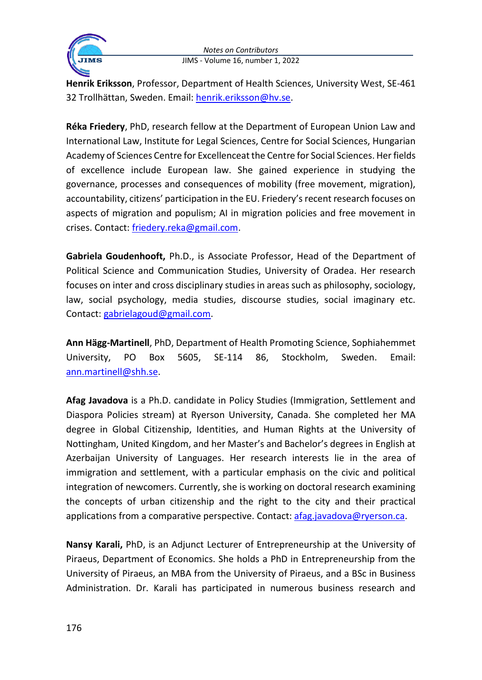



**Henrik Eriksson**, Professor, Department of Health Sciences, University West, SE-461 32 Trollhättan, Sweden. Email: [henrik.eriksson@hv.se.](mailto:henrik.eriksson@hv.se)

**Réka Friedery**, PhD, research fellow at the Department of European Union Law and International Law, Institute for Legal Sciences, Centre for Social Sciences, Hungarian Academy of Sciences Centre for Excellenceat the Centre for Social Sciences. Her fields of excellence include European law. She gained experience in studying the governance, processes and consequences of mobility (free movement, migration), accountability, citizens' participation in the EU. Friedery's recent research focuses on aspects of migration and populism; AI in migration policies and free movement in crises. Contact: [friedery.reka@gmail.com.](mailto:friedery.reka@gmail.com)

**Gabriela Goudenhooft,** Ph.D., is Associate Professor, Head of the Department of Political Science and Communication Studies, University of Oradea. Her research focuses on inter and cross disciplinary studies in areas such as philosophy, sociology, law, social psychology, media studies, discourse studies, social imaginary etc. Contact: [gabrielagoud@gmail.com.](mailto:gabrielagoud@gmail.com)

**Ann Hägg-Martinell**, PhD, Department of Health Promoting Science, Sophiahemmet University, PO Box 5605, SE-114 86, Stockholm, Sweden. Email: [ann.martinell@shh.se.](mailto:ann.martinell@shh.se)

**Afag Javadova** is a Ph.D. candidate in Policy Studies (Immigration, Settlement and Diaspora Policies stream) at Ryerson University, Canada. She completed her MA degree in Global Citizenship, Identities, and Human Rights at the University of Nottingham, United Kingdom, and her Master's and Bachelor's degrees in English at Azerbaijan University of Languages. Her research interests lie in the area of immigration and settlement, with a particular emphasis on the civic and political integration of newcomers. Currently, she is working on doctoral research examining the concepts of urban citizenship and the right to the city and their practical applications from a comparative perspective. Contact: [afag.javadova@ryerson.ca.](mailto:afag.javadova@ryerson.ca)

**Nansy Karali,** PhD, is an Adjunct Lecturer of Entrepreneurship at the University of Piraeus, Department of Economics. She holds a PhD in Entrepreneurship from the University of Piraeus, an MBA from the University of Piraeus, and a BSc in Business Administration. Dr. Karali has participated in numerous business research and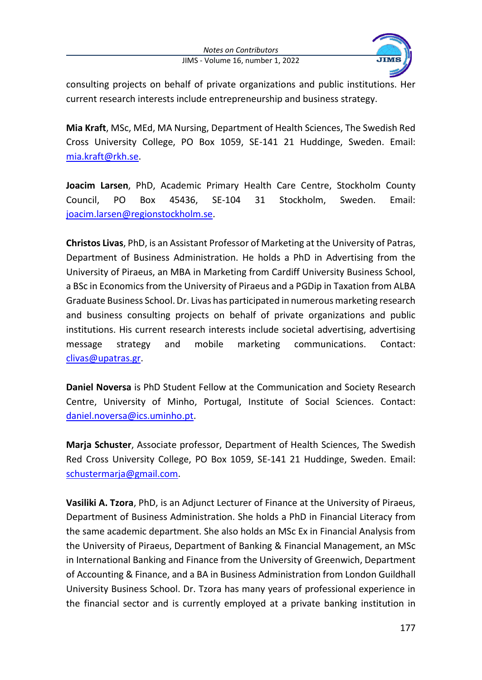*Notes on Contributors* JIMS - Volume 16, number 1, 2022



consulting projects on behalf of private organizations and public institutions. Her current research interests include entrepreneurship and business strategy.

**Mia Kraft**, MSc, MEd, MA Nursing, Department of Health Sciences, The Swedish Red Cross University College, PO Box 1059, SE-141 21 Huddinge, Sweden. Email: [mia.kraft@rkh.se.](mailto:mia.kraft@rkh.se)

**Joacim Larsen**, PhD, Academic Primary Health Care Centre, Stockholm County Council, PO Box 45436, SE-104 31 Stockholm, Sweden. Email: [joacim.larsen@regionstockholm.se.](mailto:joacim.larsen@regionstockholm.se)

**Christos Livas**, PhD, is an Assistant Professor of Marketing at the University of Patras, Department of Business Administration. He holds a PhD in Advertising from the University of Piraeus, an MBA in Marketing from Cardiff University Business School, a BSc in Economics from the University of Piraeus and a PGDip in Taxation from ALBA Graduate Business School. Dr. Livas has participated in numerous marketing research and business consulting projects on behalf of private organizations and public institutions. His current research interests include societal advertising, advertising message strategy and mobile marketing communications. Contact: [clivas@upatras.gr.](mailto:clivas@upatras.gr)

**Daniel Noversa** is PhD Student Fellow at the Communication and Society Research Centre, University of Minho, Portugal, Institute of Social Sciences. Contact: [daniel.noversa@ics.uminho.pt.](mailto:daniel.noversa@ics.uminho.pt)

**Marja Schuster**, Associate professor, Department of Health Sciences, The Swedish Red Cross University College, PO Box 1059, SE-141 21 Huddinge, Sweden. Email: [schustermarja@gmail.com.](mailto:schustermarja@gmail.com)

**Vasiliki A. Tzora**, PhD, is an Adjunct Lecturer of Finance at the University of Piraeus, Department of Business Administration. She holds a PhD in Financial Literacy from the same academic department. She also holds an MSc Ex in Financial Analysis from the University of Piraeus, Department of Banking & Financial Management, an MSc in International Banking and Finance from the University of Greenwich, Department of Accounting & Finance, and a BA in Business Administration from London Guildhall University Business School. Dr. Tzora has many years of professional experience in the financial sector and is currently employed at a private banking institution in